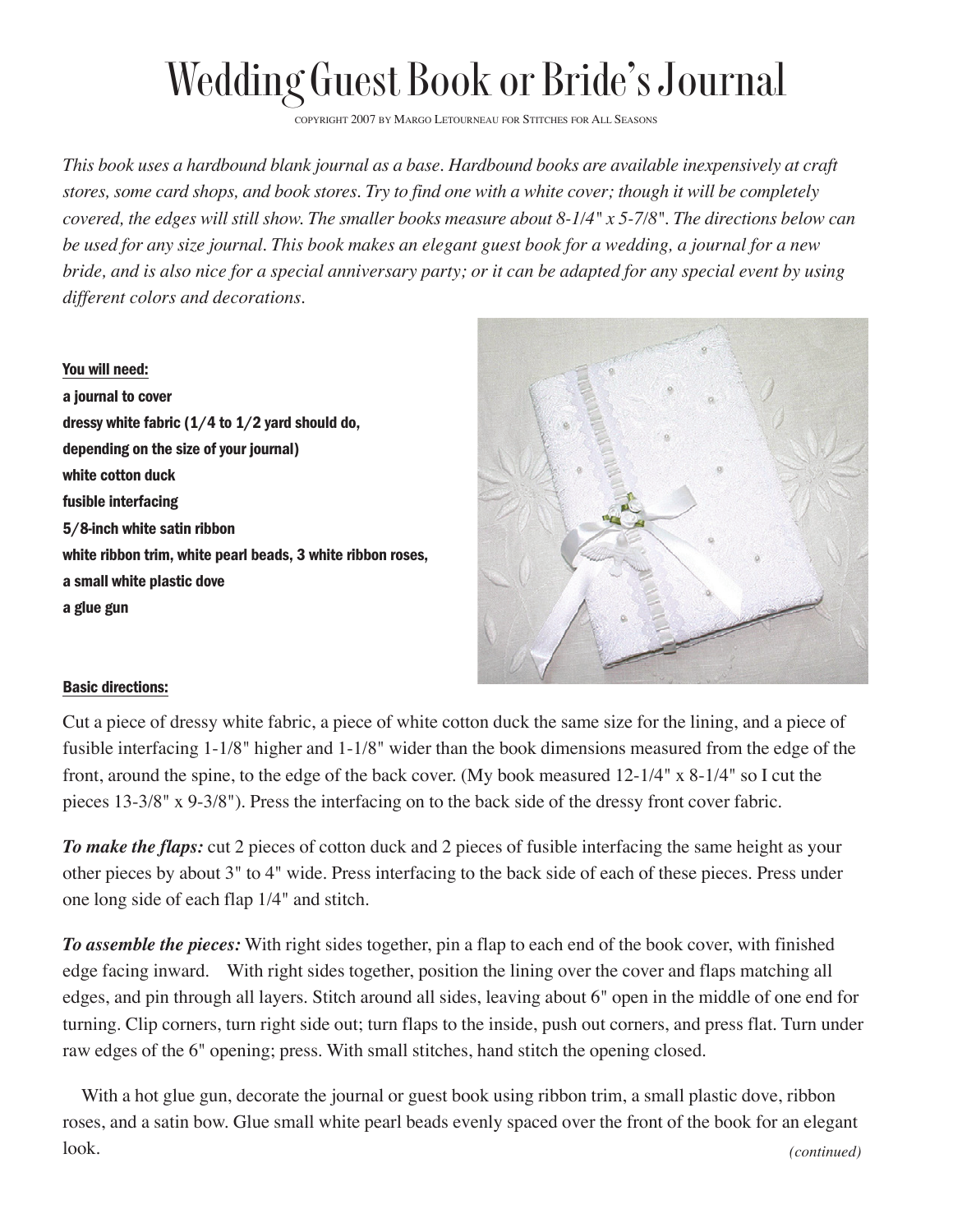## Wedding Guest Book or Bride's Journal

COPYRIGHT 2007 BY MARGO LETOURNEAU FOR STITCHES FOR ALL SEASONS

*This book uses a hardbound blank journal as a base. Hardbound books are available inexpensively at craft stores, some card shops, and book stores. Try to find one with a white cover; though it will be completely covered, the edges will still show. The smaller books measure about 8-1/4" x 5-7/8". The directions below can be used for any size journal. This book makes an elegant guest book for a wedding, a journal for a new bride, and is also nice for a special anniversary party; or it can be adapted for any special event by using different colors and decorations.*

## You will need:

a journal to cover dressy white fabric (1/4 to 1/2 yard should do, depending on the size of your journal) white cotton duck fusible interfacing 5/8-inch white satin ribbon white ribbon trim, white pearl beads, 3 white ribbon roses, a small white plastic dove a glue gun



## Basic directions:

Cut a piece of dressy white fabric, a piece of white cotton duck the same size for the lining, and a piece of fusible interfacing 1-1/8" higher and 1-1/8" wider than the book dimensions measured from the edge of the front, around the spine, to the edge of the back cover. (My book measured 12-1/4" x 8-1/4" so I cut the pieces 13-3/8" x 9-3/8"). Press the interfacing on to the back side of the dressy front cover fabric.

*To make the flaps:* cut 2 pieces of cotton duck and 2 pieces of fusible interfacing the same height as your other pieces by about 3" to 4" wide. Press interfacing to the back side of each of these pieces. Press under one long side of each flap 1/4" and stitch.

*To assemble the pieces:* With right sides together, pin a flap to each end of the book cover, with finished edge facing inward. With right sides together, position the lining over the cover and flaps matching all edges, and pin through all layers. Stitch around all sides, leaving about 6" open in the middle of one end for turning. Clip corners, turn right side out; turn flaps to the inside, push out corners, and press flat. Turn under raw edges of the 6" opening; press. With small stitches, hand stitch the opening closed.

With a hot glue gun, decorate the journal or guest book using ribbon trim, a small plastic dove, ribbon roses, and a satin bow. Glue small white pearl beads evenly spaced over the front of the book for an elegant look. *(continued)*